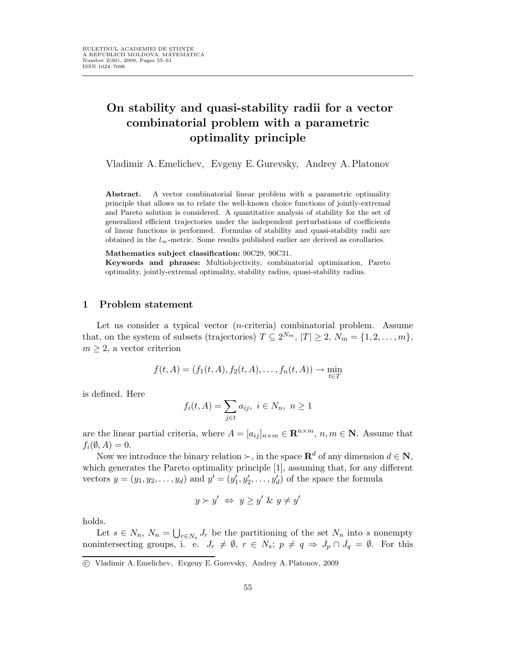# On stability and quasi-stability radii for a vector combinatorial problem with a parametric optimality principle

Vladimir A.Emelichev, Evgeny E.Gurevsky, Andrey A.Platonov

Abstract. A vector combinatorial linear problem with a parametric optimality principle that allows us to relate the well-known choice functions of jointly-extremal and Pareto solution is considered. A quantitative analysis of stability for the set of generalized efficient trajectories under the independent perturbations of coefficients of linear functions is performed. Formulas of stability and quasi-stability radii are obtained in the  $l_{\infty}$ -metric. Some results published earlier are derived as corollaries.

Mathematics subject classification: 90C29, 90C31.

Keywords and phrases: Multiobjectivity, combinatorial optimization, Pareto optimality, jointly-extremal optimality, stability radius, quasi-stability radius.

#### 1 Problem statement

Let us consider a typical vector (n-criteria) combinatorial problem. Assume that, on the system of subsets (trajectories)  $T \subseteq 2^{N_m}$ ,  $|T| \geq 2$ ,  $N_m = \{1, 2, ..., m\}$ ,  $m \geq 2$ , a vector criterion

$$
f(t, A) = (f_1(t, A), f_2(t, A), \dots, f_n(t, A)) \to \min_{t \in T}
$$

is defined. Here

$$
f_i(t, A) = \sum_{j \in t} a_{ij}, \ i \in N_n, \ n \ge 1
$$

are the linear partial criteria, where  $A = [a_{ij}]_{n \times m} \in \mathbb{R}^{n \times m}$ ,  $n, m \in \mathbb{N}$ . Assume that  $f_i(\emptyset, A) = 0.$ 

Now we introduce the binary relation  $\succ$ , in the space  $\mathbb{R}^d$  of any dimension  $d \in \mathbb{N}$ , which generates the Pareto optimality principle [1], assuming that, for any different vectors  $y = (y_1, y_2, \dots, y_d)$  and  $y' = (y'_1, y'_2, \dots, y'_d)$  of the space the formula

$$
y \succ y' \iff y \ge y' \& y \ne y'
$$

holds.

Let  $s \in N_n$ ,  $N_n = \bigcup_{r \in N_s} J_r$  be the partitioning of the set  $N_n$  into s nonempty nonintersecting groups, i. e.  $J_r \neq \emptyset$ ,  $r \in N_s$ ;  $p \neq q \Rightarrow J_p \cap J_q = \emptyset$ . For this

c Vladimir A. Emelichev, Evgeny E. Gurevsky, Andrey A. Platonov, 2009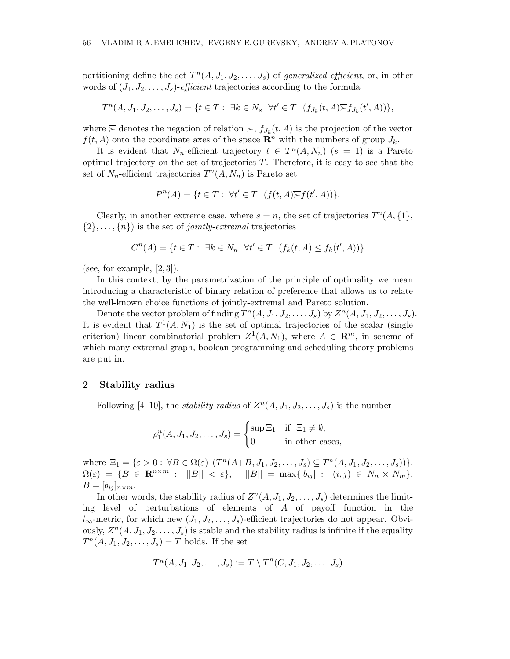partitioning define the set  $T^n(A, J_1, J_2, \ldots, J_s)$  of generalized efficient, or, in other words of  $(J_1, J_2, \ldots, J_s)$ -efficient trajectories according to the formula

$$
T^n(A, J_1, J_2, \dots, J_s) = \{t \in T : \exists k \in N_s \ \forall t' \in T \ (f_{J_k}(t, A) \overline{\succ} f_{J_k}(t', A))\},\
$$

where  $\overline{\succ}$  denotes the negation of relation  $\succ$ ,  $f_{J_k}(t, A)$  is the projection of the vector  $f(t, A)$  onto the coordinate axes of the space  $\mathbb{R}^n$  with the numbers of group  $J_k$ .

It is evident that  $N_n$ -efficient trajectory  $t \in T^n(A, N_n)$   $(s = 1)$  is a Pareto optimal trajectory on the set of trajectories  $T$ . Therefore, it is easy to see that the set of  $N_n$ -efficient trajectories  $T^n(A, N_n)$  is Pareto set

$$
P^{n}(A) = \{ t \in T : \ \forall t' \in T \ \ (f(t, A) \overline{\succ} f(t', A)) \}.
$$

Clearly, in another extreme case, where  $s = n$ , the set of trajectories  $T<sup>n</sup>(A, \{1\},\)$  $\{2\}, \ldots, \{n\}$  is the set of *jointly-extremal* trajectories

$$
C^{n}(A) = \{ t \in T : \ \exists k \in N_n \ \forall t' \in T \ \ (f_k(t, A) \le f_k(t', A)) \}
$$

(see, for example,  $[2,3]$ ).

In this context, by the parametrization of the principle of optimality we mean introducing a characteristic of binary relation of preference that allows us to relate the well-known choice functions of jointly-extremal and Pareto solution.

Denote the vector problem of finding  $T^n(A, J_1, J_2, \ldots, J_s)$  by  $Z^n(A, J_1, J_2, \ldots, J_s)$ . It is evident that  $T^1(A, N_1)$  is the set of optimal trajectories of the scalar (single criterion) linear combinatorial problem  $Z^1(A, N_1)$ , where  $A \in \mathbb{R}^m$ , in scheme of which many extremal graph, boolean programming and scheduling theory problems are put in.

## 2 Stability radius

Following [4-10], the *stability radius* of  $Z^n(A, J_1, J_2, \ldots, J_s)$  is the number

$$
\rho_1^n(A, J_1, J_2, \dots, J_s) = \begin{cases} \sup \Xi_1 & \text{if } \Xi_1 \neq \emptyset, \\ 0 & \text{in other cases,} \end{cases}
$$

where  $\Xi_1 = \{\varepsilon > 0 : \forall B \in \Omega(\varepsilon) \ (T^n(A+B, J_1, J_2, \ldots, J_s) \subseteq T^n(A, J_1, J_2, \ldots, J_s))\},\$  $\Omega(\varepsilon) = \{B \in \mathbf{R}^{n \times m} : ||B|| < \varepsilon\}, \quad ||B|| = \max\{|b_{ij}| : (i,j) \in N_n \times N_m\},\$  $B=[b_{ij}]_{n\times m}.$ 

In other words, the stability radius of  $Z^n(A, J_1, J_2, \ldots, J_s)$  determines the limiting level of perturbations of elements of A of payoff function in the  $l_{\infty}$ -metric, for which new  $(J_1, J_2, \ldots, J_s)$ -efficient trajectories do not appear. Obviously,  $Z<sup>n</sup>(A, J<sub>1</sub>, J<sub>2</sub>,..., J<sub>s</sub>)$  is stable and the stability radius is infinite if the equality  $T^n(A, J_1, J_2, \ldots, J_s) = T$  holds. If the set

$$
\overline{T^n}(A, J_1, J_2, \dots, J_s) := T \setminus T^n(C, J_1, J_2, \dots, J_s)
$$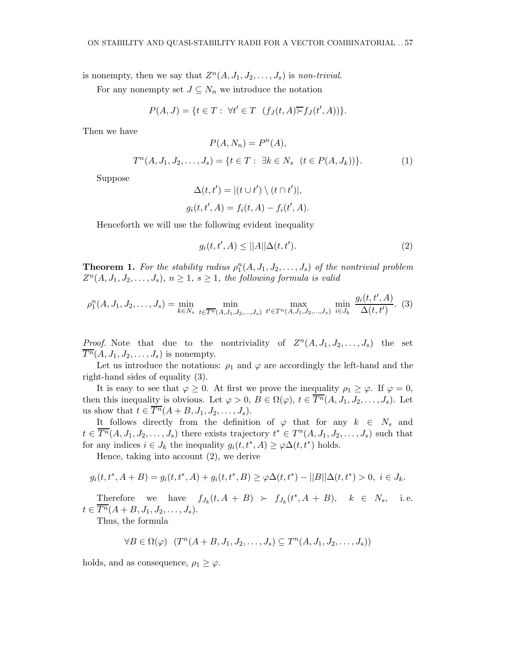is nonempty, then we say that  $Z^n(A, J_1, J_2, \ldots, J_s)$  is non-trivial.

For any nonempty set  $J \subseteq N_n$  we introduce the notation

$$
P(A,J) = \{ t \in T : \forall t' \in T \ (f_J(t,A) \overline{\succ} f_J(t',A)) \}.
$$

Then we have

$$
P(A, N_n) = P^n(A),
$$
  
\n
$$
T^n(A, J_1, J_2, \dots, J_s) = \{t \in T : \exists k \in N_s \ (t \in P(A, J_k))\}.
$$
 (1)

Suppose

$$
\Delta(t, t') = |(t \cup t') \setminus (t \cap t')|,
$$
  

$$
g_i(t, t', A) = f_i(t, A) - f_i(t', A).
$$

Henceforth we will use the following evident inequality

$$
g_i(t, t', A) \le ||A|| \Delta(t, t'). \tag{2}
$$

**Theorem 1.** For the stability radius  $\rho_1^n(A, J_1, J_2, \ldots, J_s)$  of the nontrivial problem  $Z^{n}(A, J_1, J_2, \ldots, J_s), n \geq 1, s \geq 1$ , the following formula is valid

$$
\rho_1^n(A, J_1, J_2, \dots, J_s) = \min_{k \in N_s} \min_{t \in \overline{T^n}(A, J_1, J_2, \dots, J_s)} \max_{t' \in T^n(A, J_1, J_2, \dots, J_s)} \min_{i \in J_k} \frac{g_i(t, t', A)}{\Delta(t, t')}.
$$
(3)

*Proof.* Note that due to the nontriviality of  $Z^n(A, J_1, J_2, \ldots, J_s)$  the set  $\overline{T^n}(A, J_1, J_2, \ldots, J_s)$  is nonempty.

Let us introduce the notations:  $\rho_1$  and  $\varphi$  are accordingly the left-hand and the right-hand sides of equality (3).

It is easy to see that  $\varphi \geq 0$ . At first we prove the inequality  $\rho_1 \geq \varphi$ . If  $\varphi = 0$ , then this inequality is obvious. Let  $\varphi > 0$ ,  $B \in \Omega(\varphi)$ ,  $t \in \overline{T^n}(A, J_1, J_2, \ldots, J_s)$ . Let us show that  $t \in \overline{T^n}(A+B, J_1, J_2, \ldots, J_s)$ .

It follows directly from the definition of  $\varphi$  that for any  $k \in N_s$  and  $t \in \overline{T^n}(A, J_1, J_2, \ldots, J_s)$  there exists trajectory  $t^* \in T^n(A, J_1, J_2, \ldots, J_s)$  such that for any indices  $i \in J_k$  the inequality  $g_i(t, t^*, A) \geq \varphi \Delta(t, t^*)$  holds.

Hence, taking into account (2), we derive

$$
g_i(t, t^*, A+B) = g_i(t, t^*, A) + g_i(t, t^*, B) \ge \varphi \Delta(t, t^*) - ||B|| \Delta(t, t^*) > 0, \ i \in J_k.
$$

Therefore we have  $f_{J_k}(t, A + B) \succ f_{J_k}(t^*, A + B), \quad k \in N_s$ , i.e.  $t \in \overline{T^n}(A+B, J_1, J_2, \ldots, J_s).$ 

Thus, the formula

$$
\forall B \in \Omega(\varphi) \ \ (T^n(A+B, J_1, J_2, \dots, J_s) \subseteq T^n(A, J_1, J_2, \dots, J_s))
$$

holds, and as consequence,  $\rho_1 \geq \varphi$ .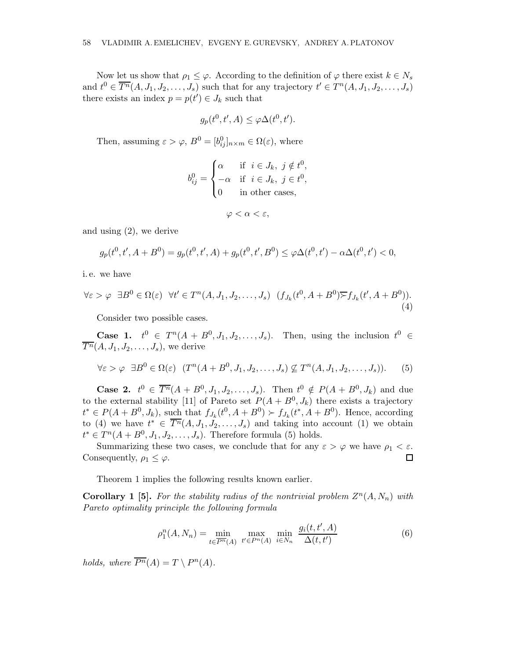Now let us show that  $\rho_1 \leq \varphi$ . According to the definition of  $\varphi$  there exist  $k \in N_s$ and  $t^0 \in \overline{T^n}(A, J_1, J_2, \ldots, J_s)$  such that for any trajectory  $t' \in T^n(A, J_1, J_2, \ldots, J_s)$ there exists an index  $p = p(t') \in J_k$  such that

$$
g_p(t^0, t', A) \le \varphi \Delta(t^0, t').
$$

Then, assuming  $\varepsilon > \varphi$ ,  $B^0 = [b_{ij}^0]_{n \times m} \in \Omega(\varepsilon)$ , where

$$
b_{ij}^0 = \begin{cases} \alpha & \text{if } i \in J_k, j \notin t^0, \\ -\alpha & \text{if } i \in J_k, j \in t^0, \\ 0 & \text{in other cases,} \end{cases}
$$

$$
\varphi < \alpha < \varepsilon,
$$

and using (2), we derive

$$
g_p(t^0, t', A + B^0) = g_p(t^0, t', A) + g_p(t^0, t', B^0) \le \varphi \Delta(t^0, t') - \alpha \Delta(t^0, t') < 0,
$$

i. e. we have

$$
\forall \varepsilon > \varphi \quad \exists B^0 \in \Omega(\varepsilon) \quad \forall t' \in T^n(A, J_1, J_2, \dots, J_s) \quad (f_{J_k}(t^0, A + B^0) \overline{\succ} f_{J_k}(t', A + B^0)). \tag{4}
$$

Consider two possible cases.

**Case 1.**  $t^0 \in T^n(A + B^0, J_1, J_2, \ldots, J_s)$ . Then, using the inclusion  $t^0 \in$  $\overline{T^n}(A, J_1, J_2, \ldots, J_s)$ , we derive

$$
\forall \varepsilon > \varphi \ \exists B^0 \in \Omega(\varepsilon) \ (T^n(A + B^0, J_1, J_2, \dots, J_s) \not\subseteq T^n(A, J_1, J_2, \dots, J_s)). \tag{5}
$$

**Case 2.**  $t^0 \in \overline{T^n}(A + B^0, J_1, J_2, \ldots, J_s)$ . Then  $t^0 \notin P(A + B^0, J_k)$  and due to the external stability [11] of Pareto set  $P(A + B^0, J_k)$  there exists a trajectory  $t^* \in P(A + B^0, J_k)$ , such that  $f_{J_k}(t^0, A + B^0) \succ f_{J_k}(t^*, A + B^0)$ . Hence, according to (4) we have  $t^* \in \overline{T^n}(A, J_1, J_2, \ldots, J_s)$  and taking into account (1) we obtain  $t^* \in T^n(A + B^0, J_1, J_2, \ldots, J_s)$ . Therefore formula (5) holds.

Summarizing these two cases, we conclude that for any  $\varepsilon > \varphi$  we have  $\rho_1 < \varepsilon$ . Consequently,  $\rho_1 \leq \varphi$ .  $\Box$ 

Theorem 1 implies the following results known earlier.

**Corollary 1** [5]. For the stability radius of the nontrivial problem  $Z^n(A, N_n)$  with Pareto optimality principle the following formula

$$
\rho_1^n(A, N_n) = \min_{t \in \overline{P^n(A)}} \max_{t' \in P^n(A)} \min_{i \in N_n} \frac{g_i(t, t', A)}{\Delta(t, t')}
$$
(6)

holds, where  $\overline{P^n}(A) = T \setminus P^n(A)$ .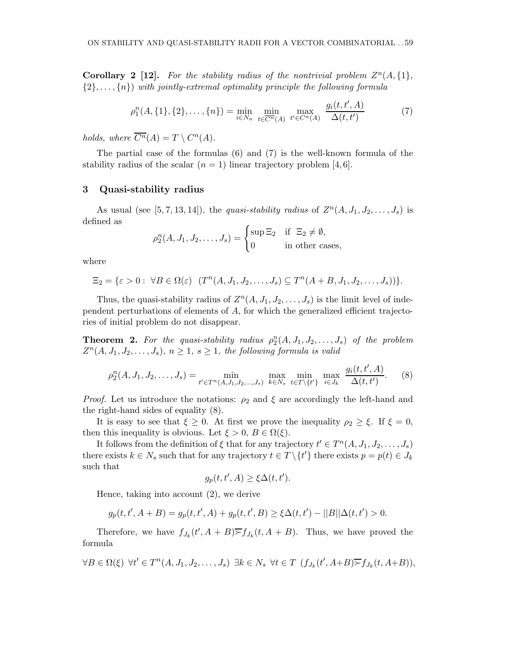**Corollary 2** [12]. For the stability radius of the nontrivial problem  $Z^n(A, \{1\},\)$  $\{2\}, \ldots, \{n\}$  with jointly-extremal optimality principle the following formula

$$
\rho_1^n(A, \{1\}, \{2\}, \dots, \{n\}) = \min_{i \in N_n} \min_{t \in \overline{C^n}(A)} \max_{t' \in C^n(A)} \frac{g_i(t, t', A)}{\Delta(t, t')} \tag{7}
$$

holds, where  $\overline{C^n}(A) = T \setminus C^n(A)$ .

The partial case of the formulas (6) and (7) is the well-known formula of the stability radius of the scalar  $(n = 1)$  linear trajectory problem [4,6].

## 3 Quasi-stability radius

As usual (see [5, 7, 13, 14]), the *quasi-stability radius* of  $Z^n(A, J_1, J_2, \ldots, J_s)$  is defined as

$$
\rho_2^n(A, J_1, J_2, \dots, J_s) = \begin{cases} \sup \Xi_2 & \text{if } \Xi_2 \neq \emptyset, \\ 0 & \text{in other cases,} \end{cases}
$$

where

$$
\Xi_2 = \{ \varepsilon > 0 : \ \forall B \in \Omega(\varepsilon) \ \ (T^n(A, J_1, J_2, \dots, J_s) \subseteq T^n(A + B, J_1, J_2, \dots, J_s)) \}.
$$

Thus, the quasi-stability radius of  $Z^n(A, J_1, J_2, \ldots, J_s)$  is the limit level of independent perturbations of elements of A, for which the generalized efficient trajectories of initial problem do not disappear.

**Theorem 2.** For the quasi-stability radius  $\rho_2^n(A, J_1, J_2, \ldots, J_s)$  of the problem  $Z^{n}(A, J_1, J_2, \ldots, J_s), n \geq 1, s \geq 1$ , the following formula is valid

$$
\rho_2^n(A, J_1, J_2, \dots, J_s) = \min_{t' \in T^n(A, J_1, J_2, \dots, J_s)} \max_{k \in N_s} \min_{t \in T \setminus \{t'\}} \max_{i \in J_k} \frac{g_i(t, t', A)}{\Delta(t, t')}.
$$
(8)

*Proof.* Let us introduce the notations:  $\rho_2$  and  $\xi$  are accordingly the left-hand and the right-hand sides of equality (8).

It is easy to see that  $\xi \geq 0$ . At first we prove the inequality  $\rho_2 \geq \xi$ . If  $\xi = 0$ , then this inequality is obvious. Let  $\xi > 0$ ,  $B \in \Omega(\xi)$ .

It follows from the definition of  $\xi$  that for any trajectory  $t' \in T^n(A, J_1, J_2, \ldots, J_s)$ there exists  $k \in N_s$  such that for any trajectory  $t \in T \setminus \{t'\}$  there exists  $p = p(t) \in J_k$ such that

$$
g_p(t, t', A) \ge \xi \Delta(t, t').
$$

Hence, taking into account (2), we derive

$$
g_p(t, t', A+B) = g_p(t, t', A) + g_p(t, t', B) \ge \xi \Delta(t, t') - ||B||\Delta(t, t') > 0.
$$

Therefore, we have  $f_{J_k}(t', A + B) \overline{\succ} f_{J_k}(t, A + B)$ . Thus, we have proved the formula

$$
\forall B \in \Omega(\xi) \ \forall t' \in T^{n}(A, J_1, J_2, \dots, J_s) \ \exists k \in N_s \ \forall t \in T \ (f_{J_k}(t', A+B) \overline{\succ} f_{J_k}(t, A+B)),
$$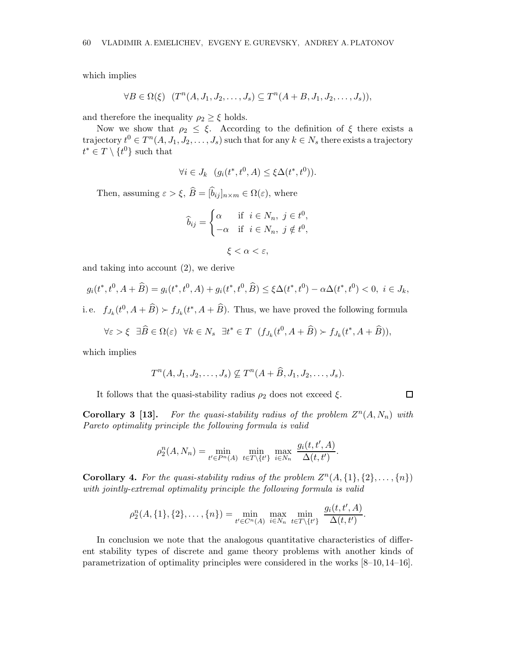which implies

$$
\forall B \in \Omega(\xi) \ \ (T^n(A, J_1, J_2, \dots, J_s) \subseteq T^n(A + B, J_1, J_2, \dots, J_s)),
$$

and therefore the inequality  $\rho_2 \geq \xi$  holds.

Now we show that  $\rho_2 \leq \xi$ . According to the definition of  $\xi$  there exists a trajectory  $t^0 \in T^n(A, J_1, J_2, \ldots, J_s)$  such that for any  $k \in N_s$  there exists a trajectory  $t^* \in T \setminus \{t^0\}$  such that

$$
\forall i \in J_k \ \ (g_i(t^*, t^0, A) \le \xi \Delta(t^*, t^0)).
$$

Then, assuming  $\varepsilon > \xi$ ,  $\widehat{B} = [\widehat{b}_{ij}]_{n \times m} \in \Omega(\varepsilon)$ , where

$$
\widehat{b}_{ij} = \begin{cases}\n\alpha & \text{if } i \in N_n, j \in t^0, \\
-\alpha & \text{if } i \in N_n, j \notin t^0, \\
\xi < \alpha < \varepsilon,\n\end{cases}
$$

and taking into account (2), we derive

$$
g_i(t^*, t^0, A + \widehat{B}) = g_i(t^*, t^0, A) + g_i(t^*, t^0, \widehat{B}) \le \xi \Delta(t^*, t^0) - \alpha \Delta(t^*, t^0) < 0, \ i \in J_k,
$$

i.e.  $f_{J_k}(t^0, A + \widehat{B}) \succ f_{J_k}(t^*, A + \widehat{B})$ . Thus, we have proved the following formula

$$
\forall \varepsilon > \xi \quad \exists \widehat{B} \in \Omega(\varepsilon) \quad \forall k \in N_s \quad \exists t^* \in T \quad (f_{J_k}(t^0, A + \widehat{B}) \succ f_{J_k}(t^*, A + \widehat{B})),
$$

which implies

$$
T^n(A, J_1, J_2, \ldots, J_s) \nsubseteq T^n(A + \widehat{B}, J_1, J_2, \ldots, J_s).
$$

It follows that the quasi-stability radius  $\rho_2$  does not exceed  $\xi$ .

 $\Box$ 

**Corollary 3 [13].** For the quasi-stability radius of the problem  $Z^n(A, N_n)$  with Pareto optimality principle the following formula is valid

$$
\rho_2^n(A, N_n) = \min_{t' \in P^n(A)} \min_{t \in T \setminus \{t'\}} \max_{i \in N_n} \frac{g_i(t, t', A)}{\Delta(t, t')}.
$$

**Corollary 4.** For the quasi-stability radius of the problem  $Z^n(A, \{1\}, \{2\}, \ldots, \{n\})$ with jointly-extremal optimality principle the following formula is valid

$$
\rho_2^n(A, \{1\}, \{2\}, \ldots, \{n\}) = \min_{t' \in C^n(A)} \max_{i \in N_n} \min_{t \in T \setminus \{t'\}} \frac{g_i(t, t', A)}{\Delta(t, t')}.
$$

In conclusion we note that the analogous quantitative characteristics of different stability types of discrete and game theory problems with another kinds of parametrization of optimality principles were considered in the works [8–10, 14–16].